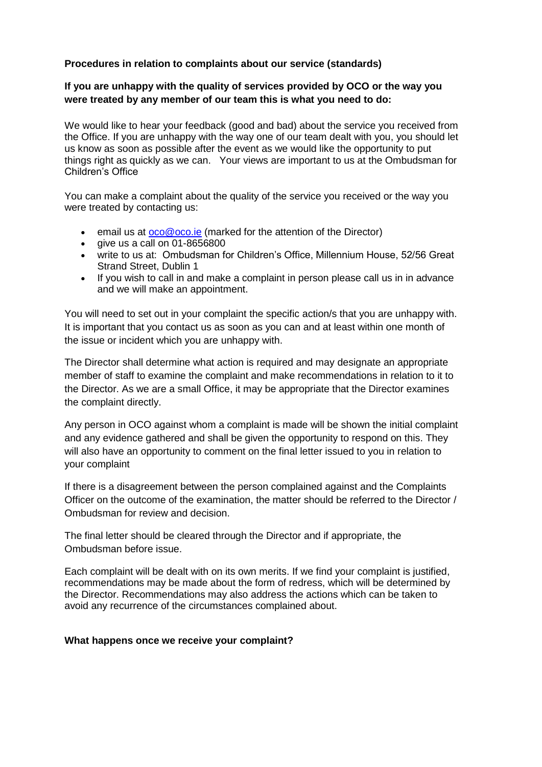## **Procedures in relation to complaints about our service (standards)**

## **If you are unhappy with the quality of services provided by OCO or the way you were treated by any member of our team this is what you need to do:**

We would like to hear your feedback (good and bad) about the service you received from the Office. If you are unhappy with the way one of our team dealt with you, you should let us know as soon as possible after the event as we would like the opportunity to put things right as quickly as we can. Your views are important to us at the Ombudsman for Children's Office

You can make a complaint about the quality of the service you received or the way you were treated by contacting us:

- e email us at  $\frac{1}{\sqrt{1-\frac{1}{n}}}$  (marked for the attention of the Director)
- $\bullet$  qive us a call on 01-8656800
- write to us at: Ombudsman for Children's Office, Millennium House, 52/56 Great Strand Street, Dublin 1
- If you wish to call in and make a complaint in person please call us in in advance and we will make an appointment.

You will need to set out in your complaint the specific action/s that you are unhappy with. It is important that you contact us as soon as you can and at least within one month of the issue or incident which you are unhappy with.

The Director shall determine what action is required and may designate an appropriate member of staff to examine the complaint and make recommendations in relation to it to the Director. As we are a small Office, it may be appropriate that the Director examines the complaint directly.

Any person in OCO against whom a complaint is made will be shown the initial complaint and any evidence gathered and shall be given the opportunity to respond on this. They will also have an opportunity to comment on the final letter issued to you in relation to your complaint

If there is a disagreement between the person complained against and the Complaints Officer on the outcome of the examination, the matter should be referred to the Director / Ombudsman for review and decision.

The final letter should be cleared through the Director and if appropriate, the Ombudsman before issue.

Each complaint will be dealt with on its own merits. If we find your complaint is justified, recommendations may be made about the form of redress, which will be determined by the Director. Recommendations may also address the actions which can be taken to avoid any recurrence of the circumstances complained about.

## **What happens once we receive your complaint?**